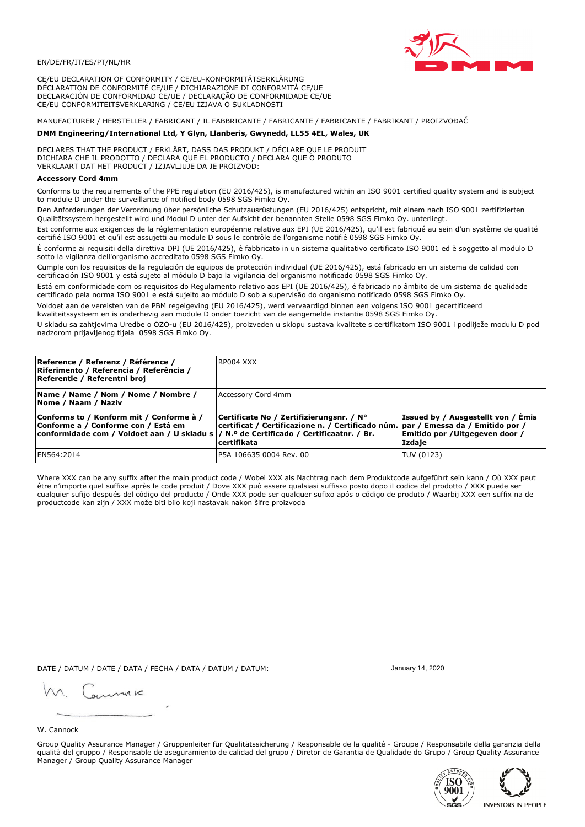

CE/EU DECLARATION OF CONFORMITY / CE/EU-KONFORMITÄTSERKLÄRUNG DÉCLARATION DE CONFORMITÉ CE/UE / DICHIARAZIONE DI CONFORMITÀ CE/UE DECLARACIÓN DE CONFORMIDAD CE/UE / DECLARAÇÃO DE CONFORMIDADE CE/UE CE/EU CONFORMITEITSVERKLARING / CE/EU IZJAVA O SUKLADNOSTI

# MANUFACTURER / HERSTELLER / FABRICANT / IL FABBRICANTE / FABRICANTE / FABRICANTE / FABRIKANT / PROIZVOĐAČ

## DMM Engineering/International Ltd, Y Glyn, Llanberis, Gwynedd, LL55 4EL, Wales, UK

DECLARES THAT THE PRODUCT / ERKLÄRT, DASS DAS PRODUKT / DÉCLARE QUE LE PRODUIT<br>DICHIARA CHE IL PRODOTTO / DECLARA QUE EL PRODUCTO / DECLARA QUE O PRODUTO VERKLAART DAT HET PRODUCT / IZJAVLJUJE DA JE PROIZVOD:

### **Accessory Cord 4mm**

Conforms to the requirements of the PPE regulation (EU 2016/425), is manufactured within an ISO 9001 certified quality system and is subject to module D under the surveillance of notified body 0598 SGS Fimko Oy.

Den Anforderungen der Verordnung über persönliche Schutzausrüstungen (EU 2016/425) entspricht, mit einem nach ISO 9001 zertifizierten Oualitätssystem hergestellt wird und Modul D unter der Aufsicht der benannten Stelle 0598 SGS Fimko Oy. unterliegt.

Est conforme aux exigences de la réglementation européenne relative aux EPI (UE 2016/425), qu'il est fabriqué au sein d'un système de qualité certifié ISO 9001 et qu'il est assujetti au module D sous le contrôle de l'organisme notifié 0598 SGS Fimko Oy.

È conforme ai requisiti della direttiva DPI (UE 2016/425), è fabbricato in un sistema qualitativo certificato ISO 9001 ed è soggetto al modulo D sotto la vigilanza dell'organismo accreditato 0598 SGS Fimko Oy.

Cumple con los requisitos de la regulación de equipos de protección individual (UE 2016/425), está fabricado en un sistema de calidad con certificación ISO 9001 y está sujeto al módulo D bajo la vigilancia del organismo notificado 0598 SGS Fimko Oy.

Está em conformidade com os requisitos do Regulamento relativo aos EPI (UE 2016/425), é fabricado no âmbito de um sistema de qualidade certificado pela norma ISO 9001 e está sujeito ao módulo D sob a supervisão do organismo notificado 0598 SGS Fimko Oy.

Voldoet aan de vereisten van de PBM regelgeving (EU 2016/425), werd vervaardigd binnen een volgens ISO 9001 gecertificeerd kwaliteitssysteem en is onderhevig aan module D onder toezicht van de aangemelde instantie 0598 SGS Fimko Oy.

U skladu sa zahtjevima Uredbe o OZO-u (EU 2016/425), proizveden u sklopu sustava kvalitete s certifikatom ISO 9001 i podliježe modulu D pod nadzorom prijavljenog tijela 0598 SGS Fimko Oy.

| Reference / Referenz / Référence /<br>Riferimento / Referencia / Referência /<br>Referentie / Referentni broj                                                               | RP004 XXX                                                                                                                                    |                                                                                 |
|-----------------------------------------------------------------------------------------------------------------------------------------------------------------------------|----------------------------------------------------------------------------------------------------------------------------------------------|---------------------------------------------------------------------------------|
| Name / Name / Nom / Nome / Nombre /<br>Nome / Naam / Naziv                                                                                                                  | Accessory Cord 4mm                                                                                                                           |                                                                                 |
| Conforms to / Konform mit / Conforme à /<br>Conforme a / Conforme con / Está em<br>conformidade com / Voldoet aan / U skladu s  / N.º de Certificado / Certificaatnr. / Br. | Certificate No / Zertifizierungsnr. / N°<br>certificat / Certificazione n. / Certificado núm. par / Emessa da / Emitido por /<br>certifikata | Issued by / Ausgestellt von / Émis<br>Emitido por / Uitgegeven door /<br>Izdaje |
| EN564:2014                                                                                                                                                                  | P5A 106635 0004 Rev. 00                                                                                                                      | TUV (0123)                                                                      |

Where XXX can be any suffix after the main product code / Wobei XXX als Nachtrag nach dem Produktcode aufgeführt sein kann / Où XXX peut être n'importe quel suffixe après le code produit / Dove XXX può essere qualsiasi suffisso posto dopo il codice del prodotto / XXX puede ser<br>cualquier sufijo después del código del producto / Onde XXX pode ser qualquer suf productcode kan zijn / XXX može biti bilo koji nastavak nakon šifre proizvoda

DATE / DATUM / DATE / DATA / FECHA / DATA / DATUM / DATUM:

gimmic

January 14, 2020



Group Quality Assurance Manager / Gruppenleiter für Qualitätssicherung / Responsable de la qualité - Groupe / Responsabile della garanzia della qualità del gruppo / Responsable de aseguramiento de calidad del grupo / Diretor de Garantia de Qualidade do Grupo / Group Quality Assurance Manager / Group Quality Assurance Manager



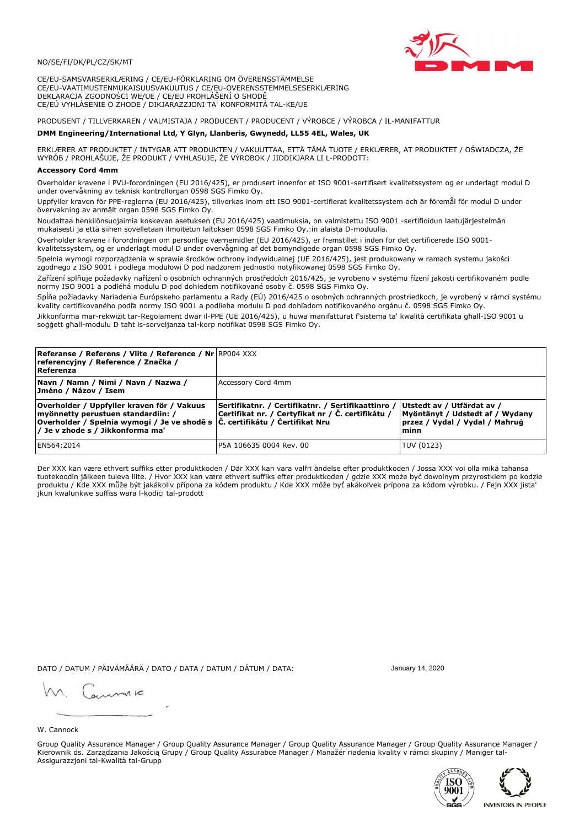

CE/EU-SAMSVARSERKLÆRING / CE/EU-FÖRKLARING OM ÖVERENSSTÄMMELSE CE/EU-VAATIMUSTENMUKAISUUSVAKUUTUS / CE/EU-OVERENSSTEMMELSESERKLÆRING DEKLARACJA ZGODNOŚCI WE/UE / CE/EU PROHLÁŠENÍ O SHODĚ CE/EÚ VYHLÁSENIE O ZHODE / DIKJARAZZJONI TA' KONFORMITÀ TAL-KE/UE

# PRODUSENT / TILLVERKAREN / VALMISTAJA / PRODUCENT / PRODUCENT / VÝROBCE / VÝROBCA / IL-MANIFATTUR

### DMM Engineering/International Ltd, Y Glyn, Llanberis, Gwynedd, LL55 4EL, Wales, UK

ERKLÆRER AT PRODUKTET / INTYGAR ATT PRODUKTEN / VAKUUTTAA, ETTÄ TÄMÄ TUOTE / ERKLÆRER, AT PRODUKTET / OŚWIADCZA, ŻE<br>WYRÓB / PROHLAŠUJE, ŽE PRODUKT / VYHLASUJE, ŽE VÝROBOK / JIDDIKJARA LI L-PRODOTT:

Overholder kravene i PVU-forordningen (EU 2016/425), er produsert innenfor et ISO 9001-sertifisert kvalitetssystem og er underlagt modul D under overvåkning av teknisk kontrollorgan 0598 SGS Fimko Oy.

Uppfyller kraven för PPE-reglerna (EU 2016/425), tillverkas inom ett ISO 9001-certifierat kvalitetssystem och är föremål för modul D under övervakning av anmält organ 0598 SGS Fimko Oy.

Noudattaa henkilönsuojaimia koskevan asetuksen (EU 2016/425) vaatimuksia, on valmistettu ISO 9001 -sertifioidun laatujärjestelmän mukaisesti ja että siihen sovelletaan ilmoitetun laitoksen 0598 SGS Fimko Oy.:in alaista D-moduulia.

Overholder kravene i forordningen om personlige værnemidler (EU 2016/425), er fremstillet i inden for det certificerede ISO 9001kvalitetssystem, og er underlagt modul D under overvågning af det bemyndigede organ 0598 SGS Fimko Oy.

Spełnia wymogi rozporządzenia w sprawie środków ochrony indywidualnej (UE 2016/425), jest produkowany w ramach systemu jakości zgodnego z ISO 9001 i podlega modułowi D pod nadzorem jednostki notyfikowanej 0598 SGS Fimko Oy.

Zařízení splňuje požadavky nařízení o osobních ochranných prostředcích 2016/425, je vyrobeno v systému řízení jakosti certifikovaném podle normy ISO 9001 a podléhá modulu D pod dohledem notifikované osoby č. 0598 SGS Fimko Oy.

Spĺňa požiadavky Nariadenia Európskeho parlamentu a Rady (EÚ) 2016/425 o osobných ochranných prostriedkoch, je vyrobený v rámci systému kvality certifikovaného podľa normy ISO 9001 a podlieha modulu D pod dohľadom notifikovaného orgánu č. 0598 SGS Fimko Oy.

Jikkonforma mar-rekwiżit tar-Regolament dwar il-PPE (UE 2016/425), u huwa manifatturat f'sistema ta' kwalità certifikata għall-ISO 9001 u soggett għall-modulu D taħt is-sorveljanza tal-korp notifikat 0598 SGS Fimko Oy.

| <b>Referanse / Referens / Viite / Reference / Nr</b> RP004 XXX<br>referencyjny / Reference / Značka /<br>Referenza                                                                                     |                                                                                                         |                                                                                                          |
|--------------------------------------------------------------------------------------------------------------------------------------------------------------------------------------------------------|---------------------------------------------------------------------------------------------------------|----------------------------------------------------------------------------------------------------------|
| Navn / Namn / Nimi / Navn / Nazwa /<br>Jméno / Názov / Isem                                                                                                                                            | Accessory Cord 4mm                                                                                      |                                                                                                          |
| Overholder / Uppfyller kraven för / Vakuus<br>myönnetty perustuen standardiin: /<br> Overholder / Spełnia wymogi / Je ve shodě s  Č. certifikátu / Čertifikat Nru<br> / Je v zhode s / Jikkonforma ma' | Sertifikatnr. / Certifikatnr. / Sertifikaattinro /<br>Certifikat nr. / Certyfikat nr / Č. certifikátu / | Utstedt av / Utfärdat av /<br>Myöntänyt / Udstedt af / Wydany<br>przez / Vydal / Vydal / Maħruġ<br>lminn |
| EN564:2014                                                                                                                                                                                             | P5A 106635 0004 Rev. 00                                                                                 | TUV (0123)                                                                                               |

Der XXX kan være ethvert suffiks etter produktkoden / Där XXX kan vara valfri ändelse efter produktkoden / Jossa XXX voi olla mikä tahansa tuotekoodin jälkeen tuleva liite. / Hvor XXX kan være ethvert suffiks efter produktkoden / gdzie XXX może być dowolnym przyrostkiem po kodzie produktu / Kde XXX může být jakákoliv přípona za kódem produktu / Kde XXX môže byť akákoľvek prípona za kódom výrobku. / Fejn XXX jista jkun kwalunkwe suffiss wara l-kodici tal-prodott

DATO / DATUM / PÄIVÄMÄÄRÄ / DATO / DATA / DATUM / DÁTUM / DATA:

January 14, 2020

annuic

W. Cannock

Group Quality Assurance Manager / Group Quality Assurance Manager / Group Quality Assurance Manager / Group Quality Assurance Manager / Kierownik ds. Zarządzania Jakością Grupy / Group Quality Assurabce Manager / Manažér riadenia kvality v rámci skupiny / Maniger tal-Assigurazzjoni tal-Kwalità tal-Grupp